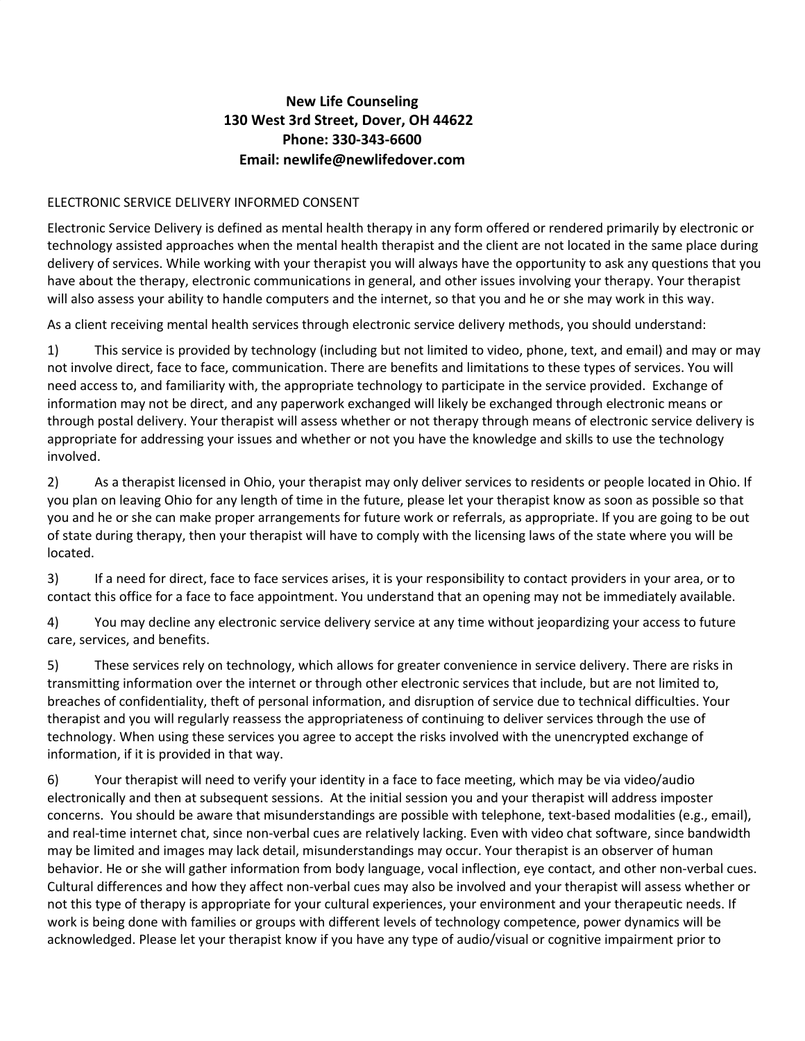## **New Life Counseling [130 West 3rd Street, Dover, OH 44622](https://www.newlifedover.com/hours-location) Phone: 330-343-6600 Email: [newlife@newlifedover.co](mailto:newlife@newlifedover.com)m**

## ELECTRONIC SERVICE DELIVERY INFORMED CONSENT

Electronic Service Delivery is defined as mental health therapy in any form offered or rendered primarily by electronic or technology assisted approaches when the mental health therapist and the client are not located in the same place during delivery of services. While working with your therapist you will always have the opportunity to ask any questions that you have about the therapy, electronic communications in general, and other issues involving your therapy. Your therapist will also assess your ability to handle computers and the internet, so that you and he or she may work in this way.

As a client receiving mental health services through electronic service delivery methods, you should understand:

1) This service is provided by technology (including but not limited to video, phone, text, and email) and may or may not involve direct, face to face, communication. There are benefits and limitations to these types of services. You will need access to, and familiarity with, the appropriate technology to participate in the service provided. Exchange of information may not be direct, and any paperwork exchanged will likely be exchanged through electronic means or through postal delivery. Your therapist will assess whether or not therapy through means of electronic service delivery is appropriate for addressing your issues and whether or not you have the knowledge and skills to use the technology involved.

2) As a therapist licensed in Ohio, your therapist may only deliver services to residents or people located in Ohio. If you plan on leaving Ohio for any length of time in the future, please let your therapist know as soon as possible so that you and he or she can make proper arrangements for future work or referrals, as appropriate. If you are going to be out of state during therapy, then your therapist will have to comply with the licensing laws of the state where you will be located.

3) If a need for direct, face to face services arises, it is your responsibility to contact providers in your area, or to contact this office for a face to face appointment. You understand that an opening may not be immediately available.

4) You may decline any electronic service delivery service at any time without jeopardizing your access to future care, services, and benefits.

5) These services rely on technology, which allows for greater convenience in service delivery. There are risks in transmitting information over the internet or through other electronic services that include, but are not limited to, breaches of confidentiality, theft of personal information, and disruption of service due to technical difficulties. Your therapist and you will regularly reassess the appropriateness of continuing to deliver services through the use of technology. When using these services you agree to accept the risks involved with the unencrypted exchange of information, if it is provided in that way.

6) Your therapist will need to verify your identity in a face to face meeting, which may be via video/audio electronically and then at subsequent sessions. At the initial session you and your therapist will address imposter concerns. You should be aware that misunderstandings are possible with telephone, text-based modalities (e.g., email), and real-time internet chat, since non-verbal cues are relatively lacking. Even with video chat software, since bandwidth may be limited and images may lack detail, misunderstandings may occur. Your therapist is an observer of human behavior. He or she will gather information from body language, vocal inflection, eye contact, and other non-verbal cues. Cultural differences and how they affect non-verbal cues may also be involved and your therapist will assess whether or not this type of therapy is appropriate for your cultural experiences, your environment and your therapeutic needs. If work is being done with families or groups with different levels of technology competence, power dynamics will be acknowledged. Please let your therapist know if you have any type of audio/visual or cognitive impairment prior to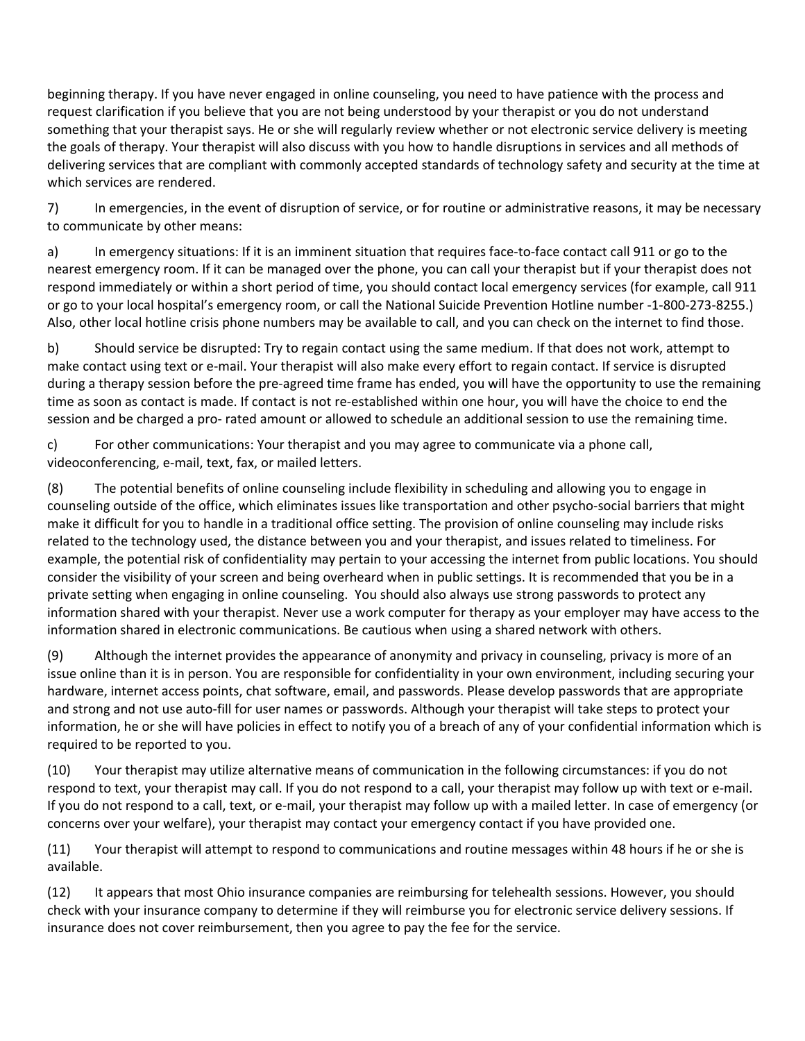beginning therapy. If you have never engaged in online counseling, you need to have patience with the process and request clarification if you believe that you are not being understood by your therapist or you do not understand something that your therapist says. He or she will regularly review whether or not electronic service delivery is meeting the goals of therapy. Your therapist will also discuss with you how to handle disruptions in services and all methods of delivering services that are compliant with commonly accepted standards of technology safety and security at the time at which services are rendered.

7) In emergencies, in the event of disruption of service, or for routine or administrative reasons, it may be necessary to communicate by other means:

a) In emergency situations: If it is an imminent situation that requires face-to-face contact call 911 or go to the nearest emergency room. If it can be managed over the phone, you can call your therapist but if your therapist does not respond immediately or within a short period of time, you should contact local emergency services (for example, call 911 or go to your local hospital's emergency room, or call the National Suicide Prevention Hotline number -1-800-273-8255.) Also, other local hotline crisis phone numbers may be available to call, and you can check on the internet to find those.

b) Should service be disrupted: Try to regain contact using the same medium. If that does not work, attempt to make contact using text or e-mail. Your therapist will also make every effort to regain contact. If service is disrupted during a therapy session before the pre-agreed time frame has ended, you will have the opportunity to use the remaining time as soon as contact is made. If contact is not re-established within one hour, you will have the choice to end the session and be charged a pro- rated amount or allowed to schedule an additional session to use the remaining time.

c) For other communications: Your therapist and you may agree to communicate via a phone call, videoconferencing, e-mail, text, fax, or mailed letters.

(8) The potential benefits of online counseling include flexibility in scheduling and allowing you to engage in counseling outside of the office, which eliminates issues like transportation and other psycho-social barriers that might make it difficult for you to handle in a traditional office setting. The provision of online counseling may include risks related to the technology used, the distance between you and your therapist, and issues related to timeliness. For example, the potential risk of confidentiality may pertain to your accessing the internet from public locations. You should consider the visibility of your screen and being overheard when in public settings. It is recommended that you be in a private setting when engaging in online counseling. You should also always use strong passwords to protect any information shared with your therapist. Never use a work computer for therapy as your employer may have access to the information shared in electronic communications. Be cautious when using a shared network with others.

(9) Although the internet provides the appearance of anonymity and privacy in counseling, privacy is more of an issue online than it is in person. You are responsible for confidentiality in your own environment, including securing your hardware, internet access points, chat software, email, and passwords. Please develop passwords that are appropriate and strong and not use auto-fill for user names or passwords. Although your therapist will take steps to protect your information, he or she will have policies in effect to notify you of a breach of any of your confidential information which is required to be reported to you.

(10) Your therapist may utilize alternative means of communication in the following circumstances: if you do not respond to text, your therapist may call. If you do not respond to a call, your therapist may follow up with text or e-mail. If you do not respond to a call, text, or e-mail, your therapist may follow up with a mailed letter. In case of emergency (or concerns over your welfare), your therapist may contact your emergency contact if you have provided one.

(11) Your therapist will attempt to respond to communications and routine messages within 48 hours if he or she is available.

(12) It appears that most Ohio insurance companies are reimbursing for telehealth sessions. However, you should check with your insurance company to determine if they will reimburse you for electronic service delivery sessions. If insurance does not cover reimbursement, then you agree to pay the fee for the service.